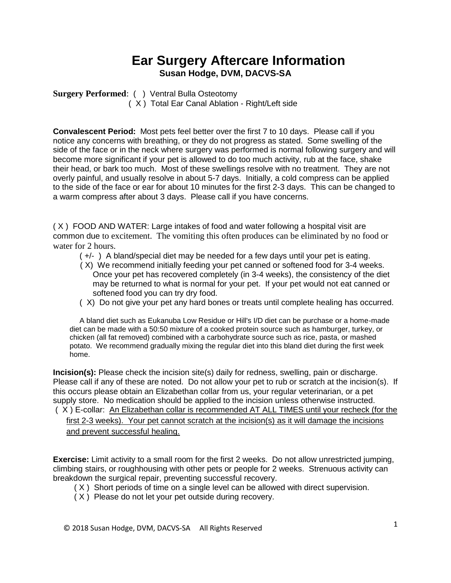## **Ear Surgery Aftercare Information Susan Hodge, DVM, DACVS-SA**

**Surgery Performed**: ( ) Ventral Bulla Osteotomy ( X ) Total Ear Canal Ablation - Right/Left side

**Convalescent Period:** Most pets feel better over the first 7 to 10 days. Please call if you notice any concerns with breathing, or they do not progress as stated. Some swelling of the side of the face or in the neck where surgery was performed is normal following surgery and will become more significant if your pet is allowed to do too much activity, rub at the face, shake their head, or bark too much. Most of these swellings resolve with no treatment. They are not overly painful, and usually resolve in about 5-7 days. Initially, a cold compress can be applied to the side of the face or ear for about 10 minutes for the first 2-3 days. This can be changed to a warm compress after about 3 days. Please call if you have concerns.

( X ) FOOD AND WATER: Large intakes of food and water following a hospital visit are common due to excitement. The vomiting this often produces can be eliminated by no food or water for 2 hours.

- ( +/- ) A bland/special diet may be needed for a few days until your pet is eating.
- ( X) We recommend initially feeding your pet canned or softened food for 3-4 weeks. Once your pet has recovered completely (in 3-4 weeks), the consistency of the diet may be returned to what is normal for your pet. If your pet would not eat canned or softened food you can try dry food.
- ( X) Do not give your pet any hard bones or treats until complete healing has occurred.

A bland diet such as Eukanuba Low Residue or Hill's I/D diet can be purchase or a home-made diet can be made with a 50:50 mixture of a cooked protein source such as hamburger, turkey, or chicken (all fat removed) combined with a carbohydrate source such as rice, pasta, or mashed potato. We recommend gradually mixing the regular diet into this bland diet during the first week home.

**Incision(s):** Please check the incision site(s) daily for redness, swelling, pain or discharge. Please call if any of these are noted. Do not allow your pet to rub or scratch at the incision(s). If this occurs please obtain an Elizabethan collar from us, your regular veterinarian, or a pet supply store. No medication should be applied to the incision unless otherwise instructed. ( X ) E-collar: An Elizabethan collar is recommended AT ALL TIMES until your recheck (for the first 2-3 weeks). Your pet cannot scratch at the incision(s) as it will damage the incisions

and prevent successful healing.

**Exercise:** Limit activity to a small room for the first 2 weeks. Do not allow unrestricted jumping, climbing stairs, or roughhousing with other pets or people for 2 weeks. Strenuous activity can breakdown the surgical repair, preventing successful recovery.

- ( X ) Short periods of time on a single level can be allowed with direct supervision.
- ( X ) Please do not let your pet outside during recovery.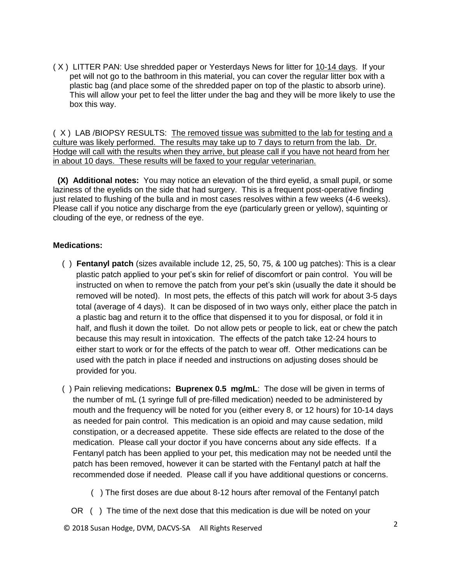( X ) LITTER PAN: Use shredded paper or Yesterdays News for litter for 10-14 days. If your pet will not go to the bathroom in this material, you can cover the regular litter box with a plastic bag (and place some of the shredded paper on top of the plastic to absorb urine). This will allow your pet to feel the litter under the bag and they will be more likely to use the box this way.

( X ) LAB /BIOPSY RESULTS: The removed tissue was submitted to the lab for testing and a culture was likely performed. The results may take up to 7 days to return from the lab. Dr. Hodge will call with the results when they arrive, but please call if you have not heard from her in about 10 days. These results will be faxed to your regular veterinarian.

 **(X) Additional notes:** You may notice an elevation of the third eyelid, a small pupil, or some laziness of the eyelids on the side that had surgery. This is a frequent post-operative finding just related to flushing of the bulla and in most cases resolves within a few weeks (4-6 weeks). Please call if you notice any discharge from the eye (particularly green or yellow), squinting or clouding of the eye, or redness of the eye.

## **Medications:**

- ( ) **Fentanyl patch** (sizes available include 12, 25, 50, 75, & 100 ug patches): This is a clear plastic patch applied to your pet's skin for relief of discomfort or pain control. You will be instructed on when to remove the patch from your pet's skin (usually the date it should be removed will be noted). In most pets, the effects of this patch will work for about 3-5 days total (average of 4 days). It can be disposed of in two ways only, either place the patch in a plastic bag and return it to the office that dispensed it to you for disposal, or fold it in half, and flush it down the toilet. Do not allow pets or people to lick, eat or chew the patch because this may result in intoxication. The effects of the patch take 12-24 hours to either start to work or for the effects of the patch to wear off. Other medications can be used with the patch in place if needed and instructions on adjusting doses should be provided for you.
- ( ) Pain relieving medications**: Buprenex 0.5 mg/mL**: The dose will be given in terms of the number of mL (1 syringe full of pre-filled medication) needed to be administered by mouth and the frequency will be noted for you (either every 8, or 12 hours) for 10-14 days as needed for pain control. This medication is an opioid and may cause sedation, mild constipation, or a decreased appetite. These side effects are related to the dose of the medication. Please call your doctor if you have concerns about any side effects. If a Fentanyl patch has been applied to your pet, this medication may not be needed until the patch has been removed, however it can be started with the Fentanyl patch at half the recommended dose if needed. Please call if you have additional questions or concerns.
	- ( ) The first doses are due about 8-12 hours after removal of the Fentanyl patch
	- OR ( ) The time of the next dose that this medication is due will be noted on your

<sup>2</sup> © 2018 Susan Hodge, DVM, DACVS-SA All Rights Reserved